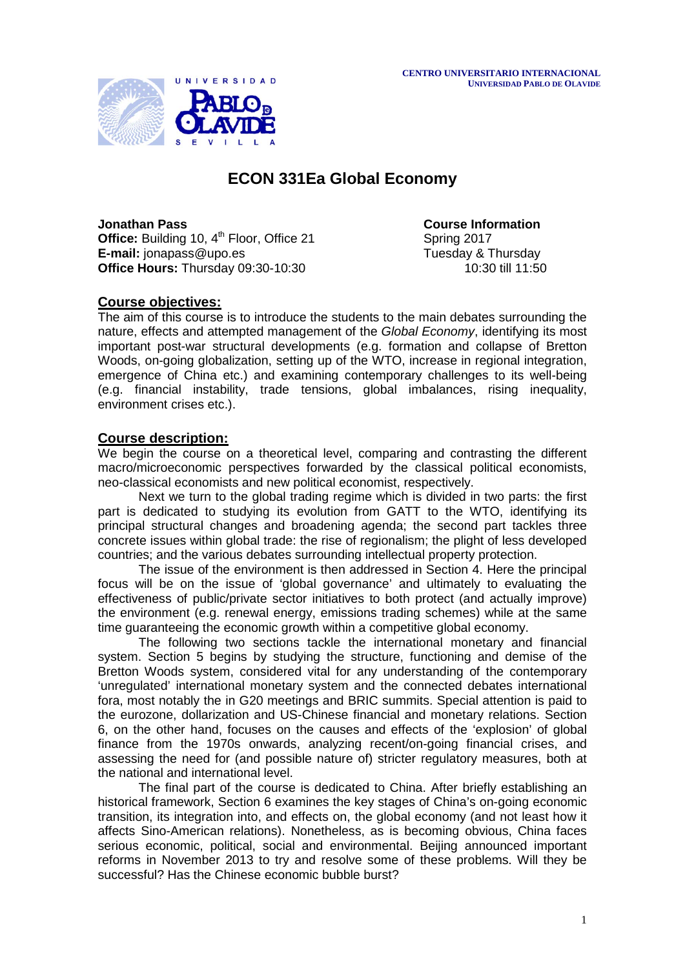

# **ECON 331Ea Global Economy**

**Jonathan Pass**<br> **Office:** Building 10, 4<sup>th</sup> Floor, Office 21 **Course Information**<br> **Course Information Office:** Building 10, 4<sup>th</sup> Floor, Office 21 Spring 2017<br> **E-mail:** ionapass@upo.es<br>
Tuesday & Thursday E-mail: [jonapass@upo.es](mailto:jonapass@upo.es)<br> **Office Hours:** Thursday 09:30-10:30<br> **Office Hours:** Thursday 09:30-10:30 **Office Hours: Thursday 09:30-10:30** 

# **Course objectives:**

The aim of this course is to introduce the students to the main debates surrounding the nature, effects and attempted management of the *Global Economy*, identifying its most important post-war structural developments (e.g. formation and collapse of Bretton Woods, on-going globalization, setting up of the WTO, increase in regional integration, emergence of China etc.) and examining contemporary challenges to its well-being (e.g. financial instability, trade tensions, global imbalances, rising inequality, environment crises etc.).

# **Course description:**

We begin the course on a theoretical level, comparing and contrasting the different macro/microeconomic perspectives forwarded by the classical political economists, neo-classical economists and new political economist, respectively.

Next we turn to the global trading regime which is divided in two parts: the first part is dedicated to studying its evolution from GATT to the WTO, identifying its principal structural changes and broadening agenda; the second part tackles three concrete issues within global trade: the rise of regionalism; the plight of less developed countries; and the various debates surrounding intellectual property protection.

The issue of the environment is then addressed in Section 4. Here the principal focus will be on the issue of 'global governance' and ultimately to evaluating the effectiveness of public/private sector initiatives to both protect (and actually improve) the environment (e.g. renewal energy, emissions trading schemes) while at the same time guaranteeing the economic growth within a competitive global economy.

The following two sections tackle the international monetary and financial system. Section 5 begins by studying the structure, functioning and demise of the Bretton Woods system, considered vital for any understanding of the contemporary 'unregulated' international monetary system and the connected debates international fora, most notably the in G20 meetings and BRIC summits. Special attention is paid to the eurozone, dollarization and US-Chinese financial and monetary relations. Section 6, on the other hand, focuses on the causes and effects of the 'explosion' of global finance from the 1970s onwards, analyzing recent/on-going financial crises, and assessing the need for (and possible nature of) stricter regulatory measures, both at the national and international level.

The final part of the course is dedicated to China. After briefly establishing an historical framework, Section 6 examines the key stages of China's on-going economic transition, its integration into, and effects on, the global economy (and not least how it affects Sino-American relations). Nonetheless, as is becoming obvious, China faces serious economic, political, social and environmental. Beijing announced important reforms in November 2013 to try and resolve some of these problems. Will they be successful? Has the Chinese economic bubble burst?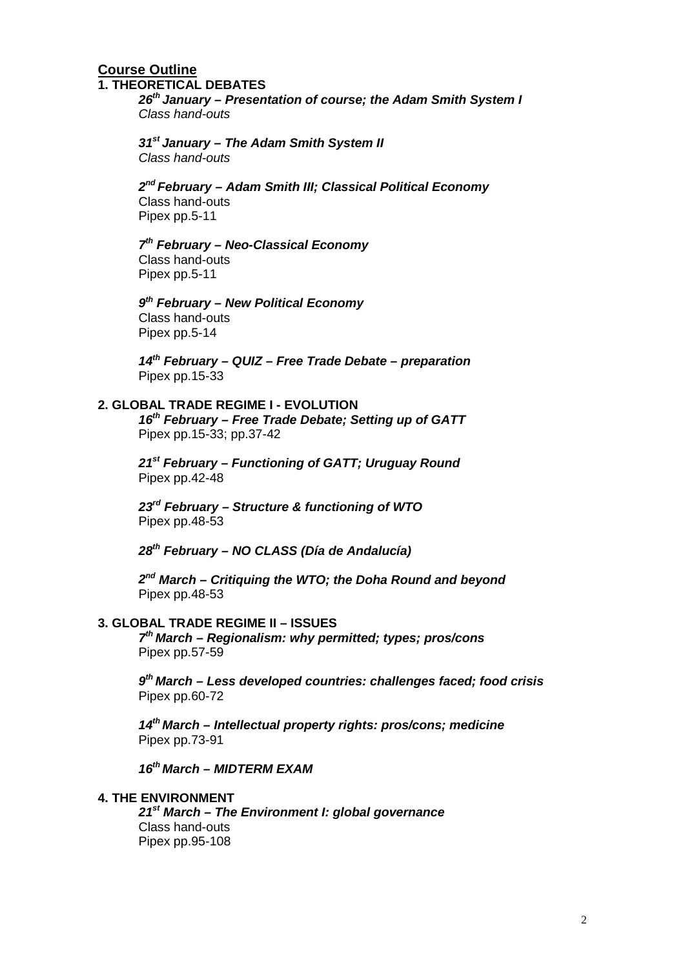#### **Course Outline 1. THEORETICAL DEBATES**

*26th January – Presentation of course; the Adam Smith System I Class hand-outs*

*31st January – The Adam Smith System II Class hand-outs*

# *2nd February – Adam Smith III; Classical Political Economy*

Class hand-outs Pipex pp.5-11

# *7th February – Neo-Classical Economy*

Class hand-outs Pipex pp.5-11

# *9th February – New Political Economy*

Class hand-outs Pipex pp.5-14

*14th February – QUIZ – Free Trade Debate – preparation* Pipex pp.15-33

## **2. GLOBAL TRADE REGIME I - EVOLUTION**

*16th February – Free Trade Debate; Setting up of GATT*  Pipex pp.15-33; pp.37-42

*21st February – Functioning of GATT; Uruguay Round* Pipex pp.42-48

*23rd February – Structure & functioning of WTO* Pipex pp.48-53

*28th February – NO CLASS (Día de Andalucía)*

*2nd March – Critiquing the WTO; the Doha Round and beyond* Pipex pp.48-53

## **3. GLOBAL TRADE REGIME II – ISSUES**

*7th March – Regionalism: why permitted; types; pros/cons* Pipex pp.57-59

*9th March – Less developed countries: challenges faced; food crisis* Pipex pp.60-72

*14th March – Intellectual property rights: pros/cons; medicine* Pipex pp.73-91

*16th March – MIDTERM EXAM*

## **4. THE ENVIRONMENT**

*21st March – The Environment I: global governance*  Class hand-outs Pipex pp.95-108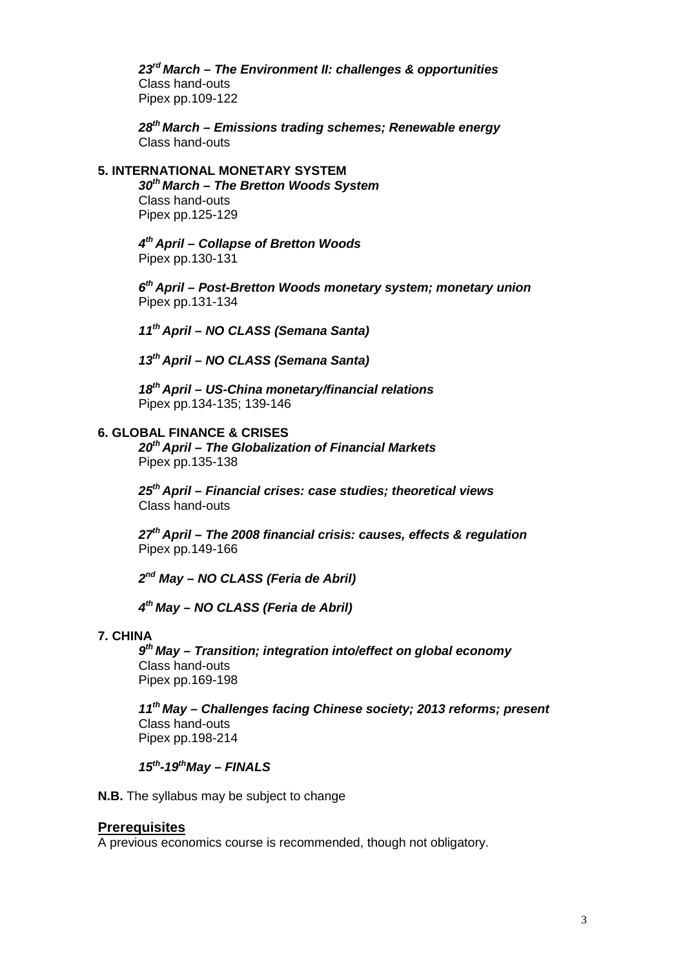*23rd March – The Environment II: challenges & opportunities* Class hand-outs Pipex pp.109-122

*28th March – Emissions trading schemes; Renewable energy* Class hand-outs

# **5. INTERNATIONAL MONETARY SYSTEM**

*30th March – The Bretton Woods System* Class hand-outs Pipex pp.125-129

*4th April – Collapse of Bretton Woods* Pipex pp.130-131

*6th April – Post-Bretton Woods monetary system; monetary union* Pipex pp.131-134

*11th April – NO CLASS (Semana Santa)*

*13th April – NO CLASS (Semana Santa)*

*18th April – US-China monetary/financial relations* Pipex pp.134-135; 139-146

#### **6. GLOBAL FINANCE & CRISES**

*20th April – The Globalization of Financial Markets*  Pipex pp.135-138

*25th April – Financial crises: case studies; theoretical views* Class hand-outs

*27th April – The 2008 financial crisis: causes, effects & regulation* Pipex pp.149-166

*2nd May – NO CLASS (Feria de Abril)*

*4th May – NO CLASS (Feria de Abril)*

## **7. CHINA**

*9th May – Transition; integration into/effect on global economy* Class hand-outs Pipex pp.169-198

*11th May – Challenges facing Chinese society; 2013 reforms; present*  Class hand-outs Pipex pp.198-214

*15th-19thMay – FINALS*

**N.B.** The syllabus may be subject to change

#### **Prerequisites**

A previous economics course is recommended, though not obligatory.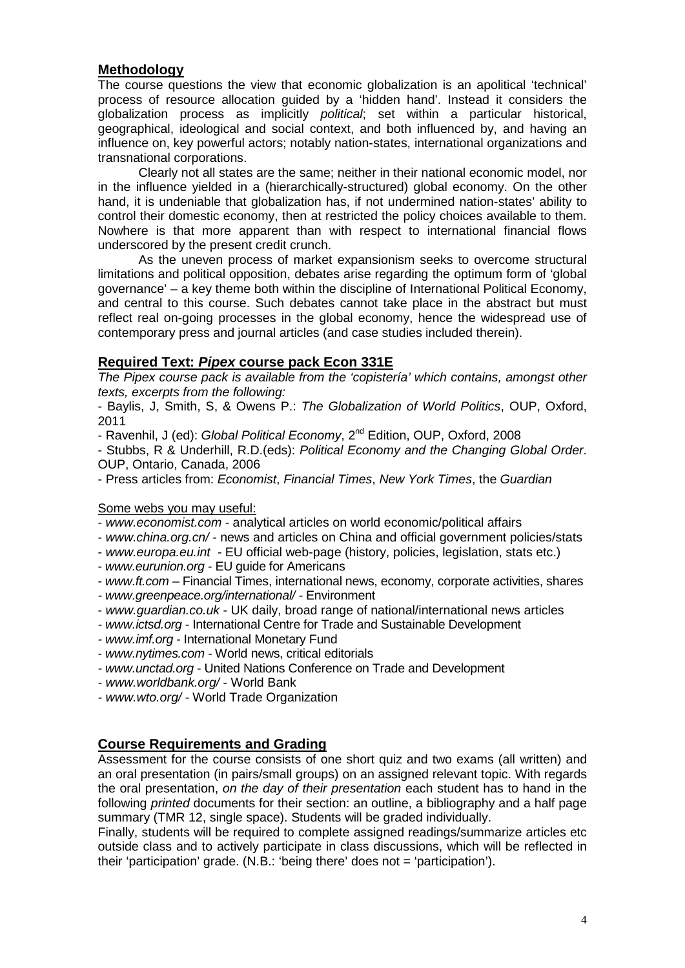# **Methodology**

The course questions the view that economic globalization is an apolitical 'technical' process of resource allocation guided by a 'hidden hand'. Instead it considers the globalization process as implicitly *political*; set within a particular historical, geographical, ideological and social context, and both influenced by, and having an influence on, key powerful actors; notably nation-states, international organizations and transnational corporations.

Clearly not all states are the same; neither in their national economic model, nor in the influence yielded in a (hierarchically-structured) global economy. On the other hand, it is undeniable that globalization has, if not undermined nation-states' ability to control their domestic economy, then at restricted the policy choices available to them. Nowhere is that more apparent than with respect to international financial flows underscored by the present credit crunch.

As the uneven process of market expansionism seeks to overcome structural limitations and political opposition, debates arise regarding the optimum form of 'global governance' – a key theme both within the discipline of International Political Economy, and central to this course. Such debates cannot take place in the abstract but must reflect real on-going processes in the global economy, hence the widespread use of contemporary press and journal articles (and case studies included therein).

# **Required Text:** *Pipex* **course pack Econ 331E**

*The Pipex course pack is available from the 'copistería' which contains, amongst other texts, excerpts from the following:* 

- Baylis, J, Smith, S, & Owens P.: *The Globalization of World Politics*, OUP, Oxford, 2011

- Ravenhil, J (ed): *Global Political Economy*, 2nd Edition, OUP, Oxford, 2008

- Stubbs, R & Underhill, R.D.(eds): *Political Economy and the Changing Global Order*. OUP, Ontario, Canada, 2006

- Press articles from: *Economist*, *Financial Times*, *New York Times*, the *Guardian*

# Some webs you may useful:

- *[www.economist.com](http://www.economist.com/)* analytical articles on world economic/political affairs
- *[www.china.org.cn/](http://www.china.org.cn/)* news and articles on China and official government policies/stats
- *[www.europa.eu.int](http://www.europa.eu.int/)* EU official web-page (history, policies, legislation, stats etc.)
- *www.eurunion.org* EU guide for Americans
- *[www.ft.com](http://www.ft.com/)* Financial Times, international news, economy, corporate activities, shares
- *- [www.greenpeace.org/international/](http://www.greenpeace.org/international) -* Environment
- *[www.guardian.co.uk](http://www.guardian.co.uk/)* UK daily, broad range of national/international news articles
- *- [www.ictsd.org](http://www.ictsd.org/)* International Centre for Trade and Sustainable Development
- *- [www.imf.org](http://www.imf.org/)* International Monetary Fund
- *[www.nytimes.com](http://www.nytimes.com/)* World news, critical editorials
- *- [www.unctad.org](http://www.unctad.org/)* United Nations Conference on Trade and Development
- *- [www.worldbank.org/](http://www.worldbank.org/)* World Bank
- *- [www.wto.org/](http://www.wto.org/)* World Trade Organization

# **Course Requirements and Grading**

Assessment for the course consists of one short quiz and two exams (all written) and an oral presentation (in pairs/small groups) on an assigned relevant topic. With regards the oral presentation, *on the day of their presentation* each student has to hand in the following *printed* documents for their section: an outline, a bibliography and a half page summary (TMR 12, single space). Students will be graded individually.

Finally, students will be required to complete assigned readings/summarize articles etc outside class and to actively participate in class discussions, which will be reflected in their 'participation' grade. (N.B.: 'being there' does not = 'participation').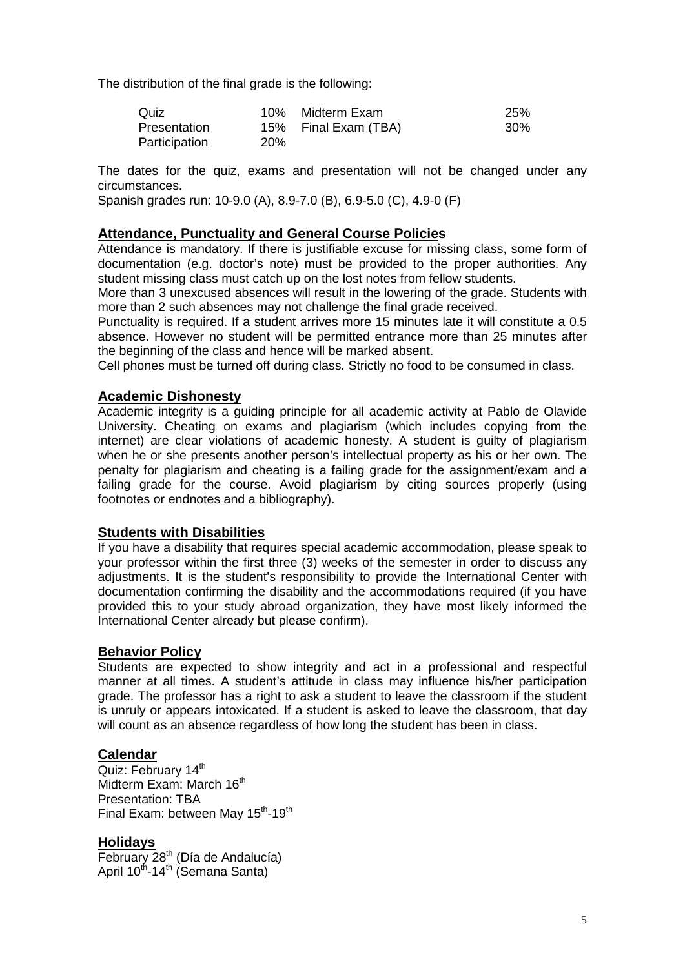The distribution of the final grade is the following:

| Quiz          |            | 10% Midterm Exam     | <b>25%</b> |
|---------------|------------|----------------------|------------|
| Presentation  |            | 15% Final Exam (TBA) | 30%        |
| Participation | <b>20%</b> |                      |            |

The dates for the quiz, exams and presentation will not be changed under any circumstances.

Spanish grades run: 10-9.0 (A), 8.9-7.0 (B), 6.9-5.0 (C), 4.9-0 (F)

## **Attendance, Punctuality and General Course Policies**

Attendance is mandatory. If there is justifiable excuse for missing class, some form of documentation (e.g. doctor's note) must be provided to the proper authorities. Any student missing class must catch up on the lost notes from fellow students.

More than 3 unexcused absences will result in the lowering of the grade. Students with more than 2 such absences may not challenge the final grade received.

Punctuality is required. If a student arrives more 15 minutes late it will constitute a 0.5 absence. However no student will be permitted entrance more than 25 minutes after the beginning of the class and hence will be marked absent.

Cell phones must be turned off during class. Strictly no food to be consumed in class.

## **Academic Dishonesty**

Academic integrity is a guiding principle for all academic activity at Pablo de Olavide University. Cheating on exams and plagiarism (which includes copying from the internet) are clear violations of academic honesty. A student is guilty of plagiarism when he or she presents another person's intellectual property as his or her own. The penalty for plagiarism and cheating is a failing grade for the assignment/exam and a failing grade for the course. Avoid plagiarism by citing sources properly (using footnotes or endnotes and a bibliography).

#### **Students with Disabilities**

If you have a disability that requires special academic accommodation, please speak to your professor within the first three (3) weeks of the semester in order to discuss any adjustments. It is the student's responsibility to provide the International Center with documentation confirming the disability and the accommodations required (if you have provided this to your study abroad organization, they have most likely informed the International Center already but please confirm).

#### **Behavior Policy**

Students are expected to show integrity and act in a professional and respectful manner at all times. A student's attitude in class may influence his/her participation grade. The professor has a right to ask a student to leave the classroom if the student is unruly or appears intoxicated. If a student is asked to leave the classroom, that day will count as an absence regardless of how long the student has been in class.

## **Calendar**

Quiz: February 14<sup>th</sup> Midterm Exam: March 16<sup>th</sup> Presentation: TBA Final Exam: between May 15<sup>th</sup>-19<sup>th</sup>

## **Holidays**

 $\overline{\text{February 28}}^{\text{th}}$  (Día de Andalucía) April  $10^{th}$ -14<sup>th</sup> (Semana Santa)